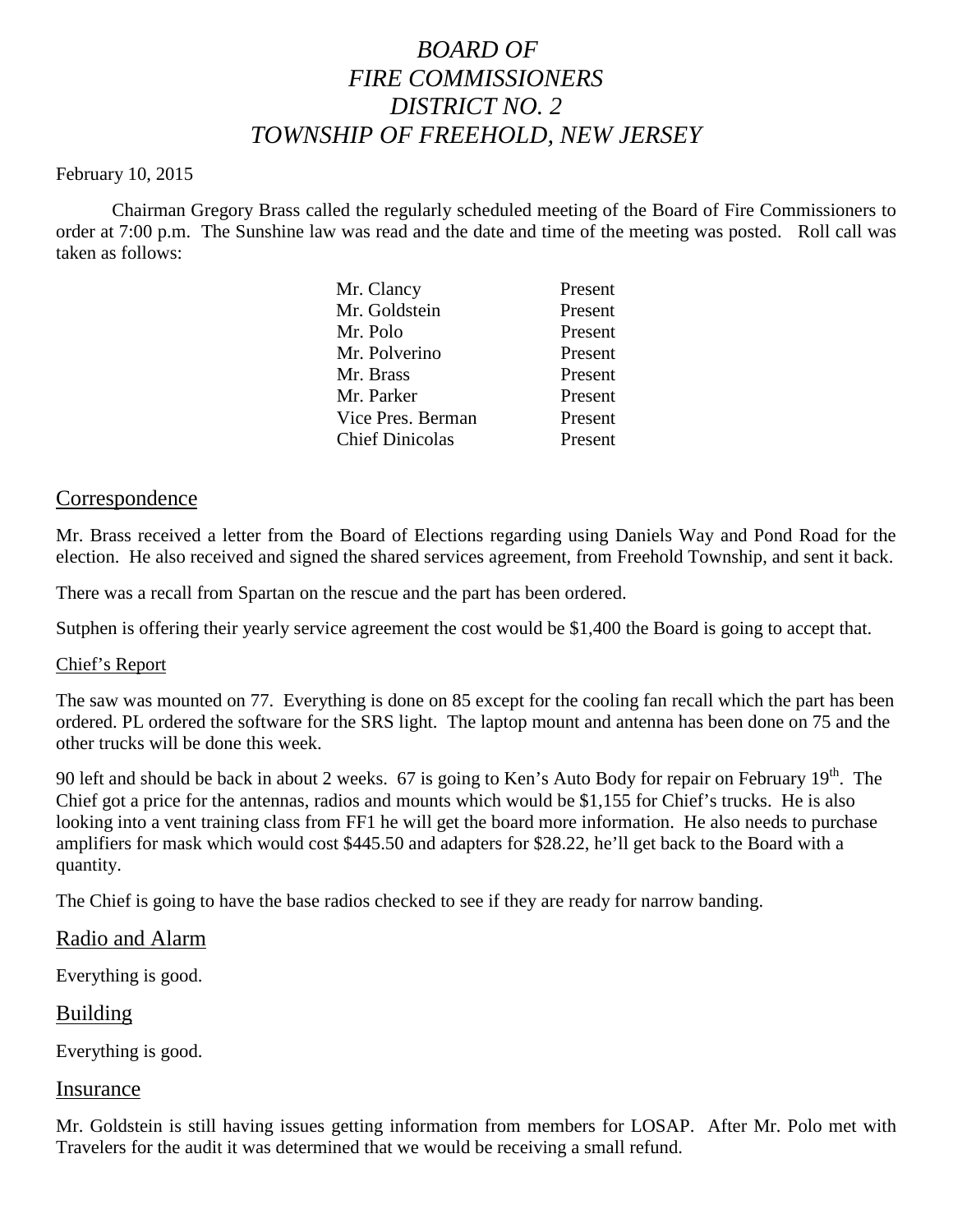# *BOARD OF FIRE COMMISSIONERS DISTRICT NO. 2 TOWNSHIP OF FREEHOLD, NEW JERSEY*

### February 10, 2015

Chairman Gregory Brass called the regularly scheduled meeting of the Board of Fire Commissioners to order at 7:00 p.m. The Sunshine law was read and the date and time of the meeting was posted. Roll call was taken as follows:

| Mr. Clancy             | Present |
|------------------------|---------|
| Mr. Goldstein          | Present |
| Mr. Polo               | Present |
| Mr. Polverino          | Present |
| Mr. Brass              | Present |
| Mr. Parker             | Present |
| Vice Pres. Berman      | Present |
| <b>Chief Dinicolas</b> | Present |
|                        |         |

## Correspondence

Mr. Brass received a letter from the Board of Elections regarding using Daniels Way and Pond Road for the election. He also received and signed the shared services agreement, from Freehold Township, and sent it back.

There was a recall from Spartan on the rescue and the part has been ordered.

Sutphen is offering their yearly service agreement the cost would be \$1,400 the Board is going to accept that.

### Chief's Report

The saw was mounted on 77. Everything is done on 85 except for the cooling fan recall which the part has been ordered. PL ordered the software for the SRS light. The laptop mount and antenna has been done on 75 and the other trucks will be done this week.

90 left and should be back in about 2 weeks. 67 is going to Ken's Auto Body for repair on February 19<sup>th</sup>. The Chief got a price for the antennas, radios and mounts which would be \$1,155 for Chief's trucks. He is also looking into a vent training class from FF1 he will get the board more information. He also needs to purchase amplifiers for mask which would cost \$445.50 and adapters for \$28.22, he'll get back to the Board with a quantity.

The Chief is going to have the base radios checked to see if they are ready for narrow banding.

### Radio and Alarm

Everything is good.

### Building

Everything is good.

#### Insurance

Mr. Goldstein is still having issues getting information from members for LOSAP. After Mr. Polo met with Travelers for the audit it was determined that we would be receiving a small refund.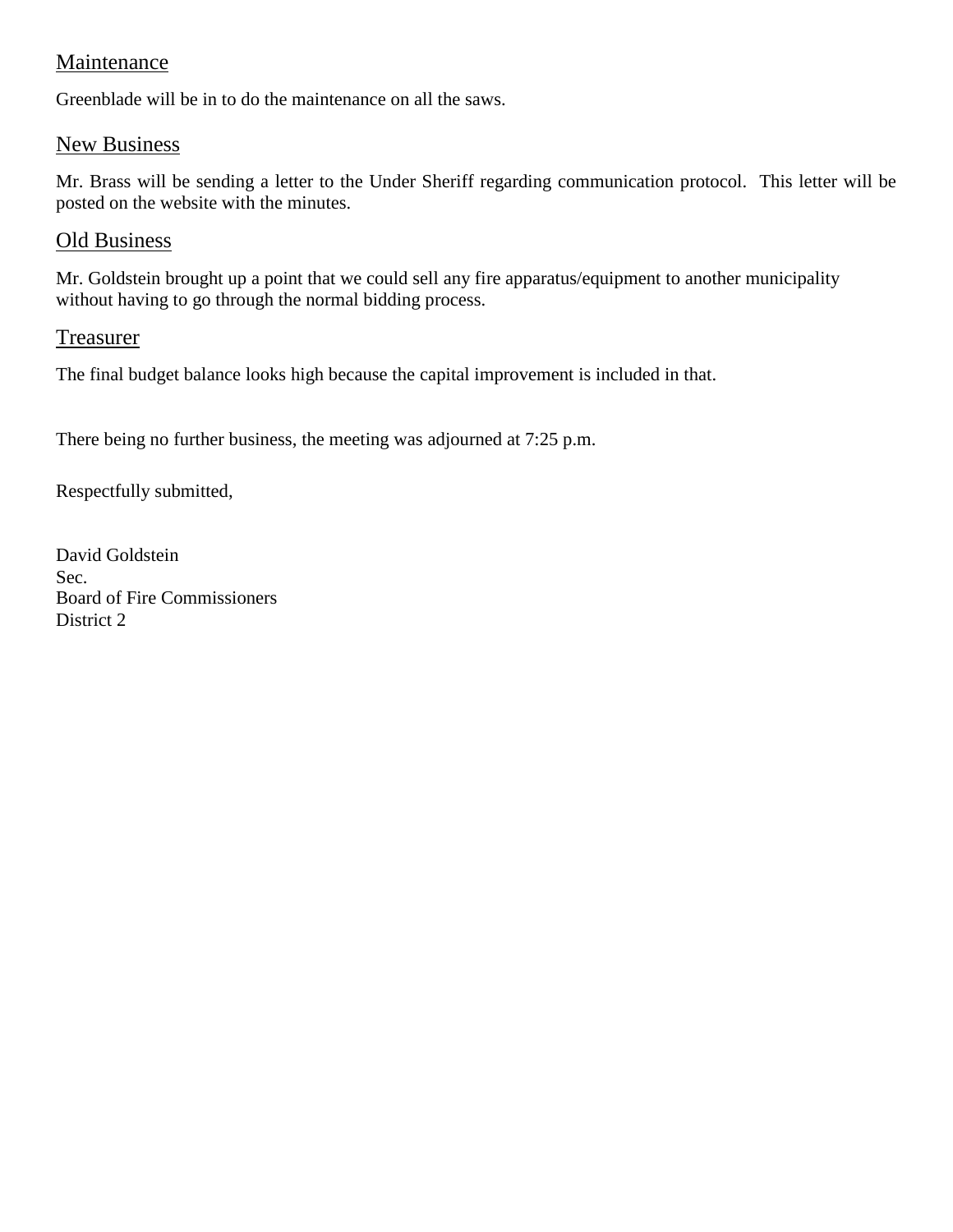# Maintenance

Greenblade will be in to do the maintenance on all the saws.

# New Business

Mr. Brass will be sending a letter to the Under Sheriff regarding communication protocol. This letter will be posted on the website with the minutes.

# Old Business

Mr. Goldstein brought up a point that we could sell any fire apparatus/equipment to another municipality without having to go through the normal bidding process.

# Treasurer

The final budget balance looks high because the capital improvement is included in that.

There being no further business, the meeting was adjourned at 7:25 p.m.

Respectfully submitted,

David Goldstein Sec. Board of Fire Commissioners District 2